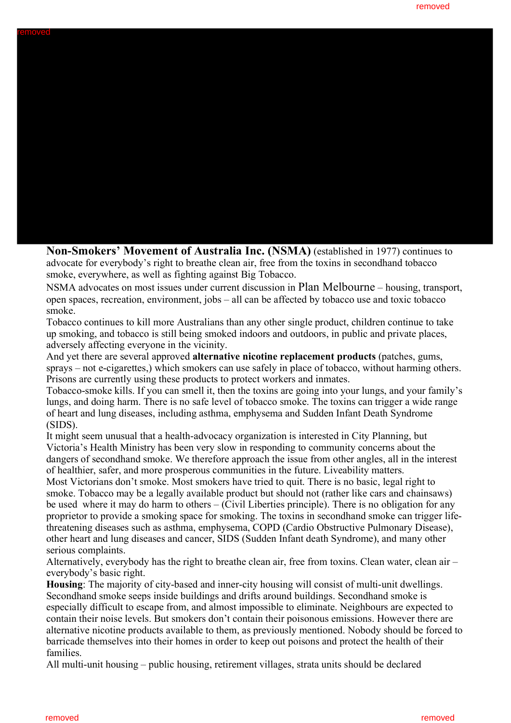

**Non-Smokers' Movement of Australia Inc. (NSMA)** (established in 1977) continues to advocate for everybody's right to breathe clean air, free from the toxins in secondhand tobacco smoke, everywhere, as well as fighting against Big Tobacco.

NSMA advocates on most issues under current discussion in Plan Melbourne – housing, transport, open spaces, recreation, environment, jobs – all can be affected by tobacco use and toxic tobacco smoke.

Tobacco continues to kill more Australians than any other single product, children continue to take up smoking, and tobacco is still being smoked indoors and outdoors, in public and private places, adversely affecting everyone in the vicinity.

And yet there are several approved **alternative nicotine replacement products** (patches, gums, sprays – not e-cigarettes,) which smokers can use safely in place of tobacco, without harming others. Prisons are currently using these products to protect workers and inmates.

Tobacco-smoke kills. If you can smell it, then the toxins are going into your lungs, and your family's lungs, and doing harm. There is no safe level of tobacco smoke. The toxins can trigger a wide range of heart and lung diseases, including asthma, emphysema and Sudden Infant Death Syndrome (SIDS).

It might seem unusual that a health-advocacy organization is interested in City Planning, but Victoria's Health Ministry has been very slow in responding to community concerns about the dangers of secondhand smoke. We therefore approach the issue from other angles, all in the interest of healthier, safer, and more prosperous communities in the future. Liveability matters.

Most Victorians don't smoke. Most smokers have tried to quit. There is no basic, legal right to smoke. Tobacco may be a legally available product but should not (rather like cars and chainsaws) be used where it may do harm to others – (Civil Liberties principle). There is no obligation for any proprietor to provide a smoking space for smoking. The toxins in secondhand smoke can trigger lifethreatening diseases such as asthma, emphysema, COPD (Cardio Obstructive Pulmonary Disease), other heart and lung diseases and cancer, SIDS (Sudden Infant death Syndrome), and many other serious complaints.

Alternatively, everybody has the right to breathe clean air, free from toxins. Clean water, clean air – everybody's basic right.

**Housing**: The majority of city-based and inner-city housing will consist of multi-unit dwellings. Secondhand smoke seeps inside buildings and drifts around buildings. Secondhand smoke is especially difficult to escape from, and almost impossible to eliminate. Neighbours are expected to contain their noise levels. But smokers don't contain their poisonous emissions. However there are alternative nicotine products available to them, as previously mentioned. Nobody should be forced to barricade themselves into their homes in order to keep out poisons and protect the health of their families.

All multi-unit housing – public housing, retirement villages, strata units should be declared